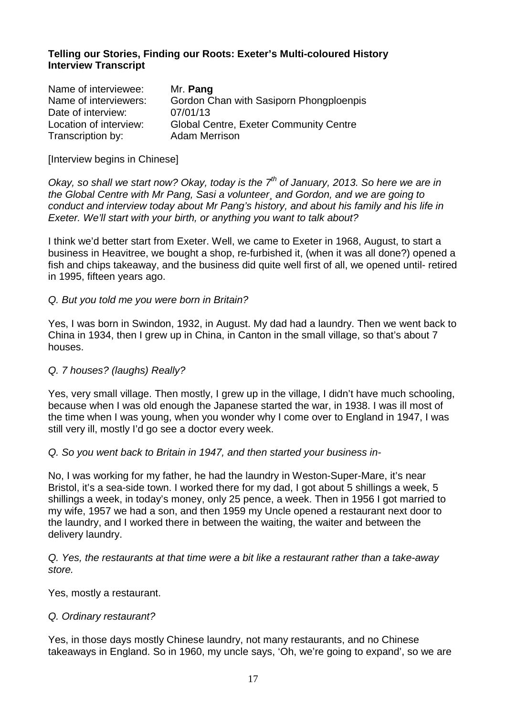# **Telling our Stories, Finding our Roots: Exeter's Multi-coloured History Interview Transcript**

| Name of interviewee:   | Mr. Pang                                      |
|------------------------|-----------------------------------------------|
| Name of interviewers:  | Gordon Chan with Sasiporn Phongploenpis       |
| Date of interview:     | 07/01/13                                      |
| Location of interview: | <b>Global Centre, Exeter Community Centre</b> |
| Transcription by:      | <b>Adam Merrison</b>                          |

[Interview begins in Chinese]

Okay, so shall we start now? Okay, today is the  $7<sup>th</sup>$  of January, 2013. So here we are in the Global Centre with Mr Pang, Sasi a volunteer¸ and Gordon, and we are going to conduct and interview today about Mr Pang's history, and about his family and his life in Exeter. We'll start with your birth, or anything you want to talk about?

I think we'd better start from Exeter. Well, we came to Exeter in 1968, August, to start a business in Heavitree, we bought a shop, re-furbished it, (when it was all done?) opened a fish and chips takeaway, and the business did quite well first of all, we opened until- retired in 1995, fifteen years ago.

### Q. But you told me you were born in Britain?

Yes, I was born in Swindon, 1932, in August. My dad had a laundry. Then we went back to China in 1934, then I grew up in China, in Canton in the small village, so that's about 7 houses.

## Q. 7 houses? (laughs) Really?

Yes, very small village. Then mostly, I grew up in the village, I didn't have much schooling, because when I was old enough the Japanese started the war, in 1938. I was ill most of the time when I was young, when you wonder why I come over to England in 1947, I was still very ill, mostly I'd go see a doctor every week.

#### Q. So you went back to Britain in 1947, and then started your business in-

No, I was working for my father, he had the laundry in Weston-Super-Mare, it's near Bristol, it's a sea-side town. I worked there for my dad, I got about 5 shillings a week, 5 shillings a week, in today's money, only 25 pence, a week. Then in 1956 I got married to my wife, 1957 we had a son, and then 1959 my Uncle opened a restaurant next door to the laundry, and I worked there in between the waiting, the waiter and between the delivery laundry.

Q. Yes, the restaurants at that time were a bit like a restaurant rather than a take-away store.

Yes, mostly a restaurant.

#### Q. Ordinary restaurant?

Yes, in those days mostly Chinese laundry, not many restaurants, and no Chinese takeaways in England. So in 1960, my uncle says, 'Oh, we're going to expand', so we are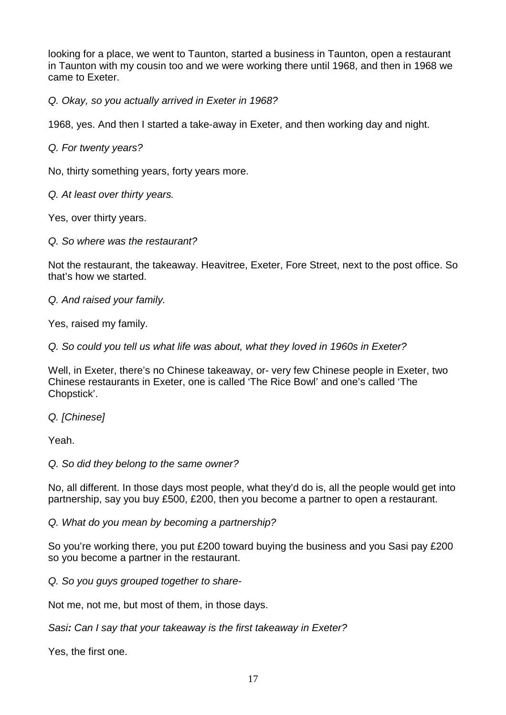looking for a place, we went to Taunton, started a business in Taunton, open a restaurant in Taunton with my cousin too and we were working there until 1968, and then in 1968 we came to Exeter.

Q. Okay, so you actually arrived in Exeter in 1968?

1968, yes. And then I started a take-away in Exeter, and then working day and night.

Q. For twenty years?

No, thirty something years, forty years more.

Q. At least over thirty years.

Yes, over thirty years.

Q. So where was the restaurant?

Not the restaurant, the takeaway. Heavitree, Exeter, Fore Street, next to the post office. So that's how we started.

Q. And raised your family.

Yes, raised my family.

Q. So could you tell us what life was about, what they loved in 1960s in Exeter?

Well, in Exeter, there's no Chinese takeaway, or- very few Chinese people in Exeter, two Chinese restaurants in Exeter, one is called 'The Rice Bowl' and one's called 'The Chopstick'.

Q. [Chinese]

Yeah.

Q. So did they belong to the same owner?

No, all different. In those days most people, what they'd do is, all the people would get into partnership, say you buy £500, £200, then you become a partner to open a restaurant.

Q. What do you mean by becoming a partnership?

So you're working there, you put £200 toward buying the business and you Sasi pay £200 so you become a partner in the restaurant.

Q. So you guys grouped together to share-

Not me, not me, but most of them, in those days.

Sasi**:** Can I say that your takeaway is the first takeaway in Exeter?

Yes, the first one.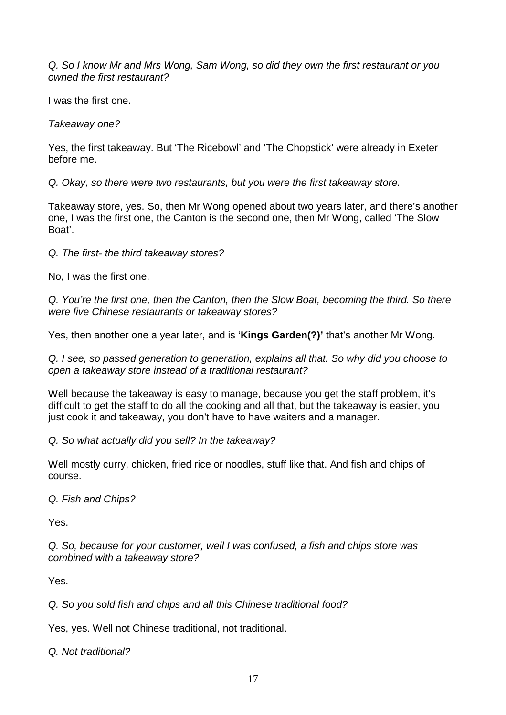Q. So I know Mr and Mrs Wong, Sam Wong, so did they own the first restaurant or you owned the first restaurant?

I was the first one.

Takeaway one?

Yes, the first takeaway. But 'The Ricebowl' and 'The Chopstick' were already in Exeter before me.

Q. Okay, so there were two restaurants, but you were the first takeaway store.

Takeaway store, yes. So, then Mr Wong opened about two years later, and there's another one, I was the first one, the Canton is the second one, then Mr Wong, called 'The Slow Boat'.

Q. The first- the third takeaway stores?

No, I was the first one.

Q. You're the first one, then the Canton, then the Slow Boat, becoming the third. So there were five Chinese restaurants or takeaway stores?

Yes, then another one a year later, and is '**Kings Garden(?)'** that's another Mr Wong.

Q. I see, so passed generation to generation, explains all that. So why did you choose to open a takeaway store instead of a traditional restaurant?

Well because the takeaway is easy to manage, because you get the staff problem, it's difficult to get the staff to do all the cooking and all that, but the takeaway is easier, you just cook it and takeaway, you don't have to have waiters and a manager.

Q. So what actually did you sell? In the takeaway?

Well mostly curry, chicken, fried rice or noodles, stuff like that. And fish and chips of course.

Q. Fish and Chips?

Yes.

Q. So, because for your customer, well I was confused, a fish and chips store was combined with a takeaway store?

Yes.

Q. So you sold fish and chips and all this Chinese traditional food?

Yes, yes. Well not Chinese traditional, not traditional.

Q. Not traditional?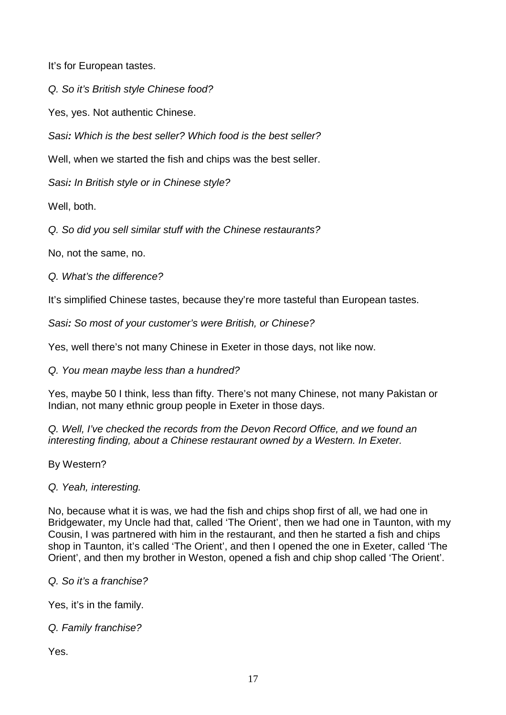It's for European tastes.

Q. So it's British style Chinese food?

Yes, yes. Not authentic Chinese.

Sasi**:** Which is the best seller? Which food is the best seller?

Well, when we started the fish and chips was the best seller.

Sasi**:** In British style or in Chinese style?

Well, both.

Q. So did you sell similar stuff with the Chinese restaurants?

No, not the same, no.

Q. What's the difference?

It's simplified Chinese tastes, because they're more tasteful than European tastes.

Sasi**:** So most of your customer's were British, or Chinese?

Yes, well there's not many Chinese in Exeter in those days, not like now.

Q. You mean maybe less than a hundred?

Yes, maybe 50 I think, less than fifty. There's not many Chinese, not many Pakistan or Indian, not many ethnic group people in Exeter in those days.

Q. Well, I've checked the records from the Devon Record Office, and we found an interesting finding, about a Chinese restaurant owned by a Western. In Exeter.

By Western?

Q. Yeah, interesting.

No, because what it is was, we had the fish and chips shop first of all, we had one in Bridgewater, my Uncle had that, called 'The Orient', then we had one in Taunton, with my Cousin, I was partnered with him in the restaurant, and then he started a fish and chips shop in Taunton, it's called 'The Orient', and then I opened the one in Exeter, called 'The Orient', and then my brother in Weston, opened a fish and chip shop called 'The Orient'.

Q. So it's a franchise?

Yes, it's in the family.

Q. Family franchise?

Yes.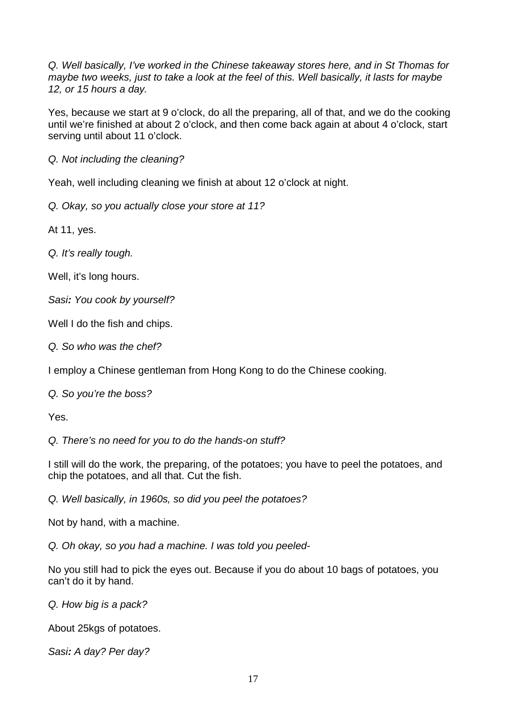Q. Well basically, I've worked in the Chinese takeaway stores here, and in St Thomas for maybe two weeks, just to take a look at the feel of this. Well basically, it lasts for maybe 12, or 15 hours a day.

Yes, because we start at 9 o'clock, do all the preparing, all of that, and we do the cooking until we're finished at about 2 o'clock, and then come back again at about 4 o'clock, start serving until about 11 o'clock.

Q. Not including the cleaning?

Yeah, well including cleaning we finish at about 12 o'clock at night.

Q. Okay, so you actually close your store at 11?

At 11, yes.

Q. It's really tough.

Well, it's long hours.

Sasi**:** You cook by yourself?

Well I do the fish and chips.

Q. So who was the chef?

I employ a Chinese gentleman from Hong Kong to do the Chinese cooking.

Q. So you're the boss?

Yes.

Q. There's no need for you to do the hands-on stuff?

I still will do the work, the preparing, of the potatoes; you have to peel the potatoes, and chip the potatoes, and all that. Cut the fish.

Q. Well basically, in 1960s, so did you peel the potatoes?

Not by hand, with a machine.

Q. Oh okay, so you had a machine. I was told you peeled-

No you still had to pick the eyes out. Because if you do about 10 bags of potatoes, you can't do it by hand.

Q. How big is a pack?

About 25kgs of potatoes.

Sasi**:** A day? Per day?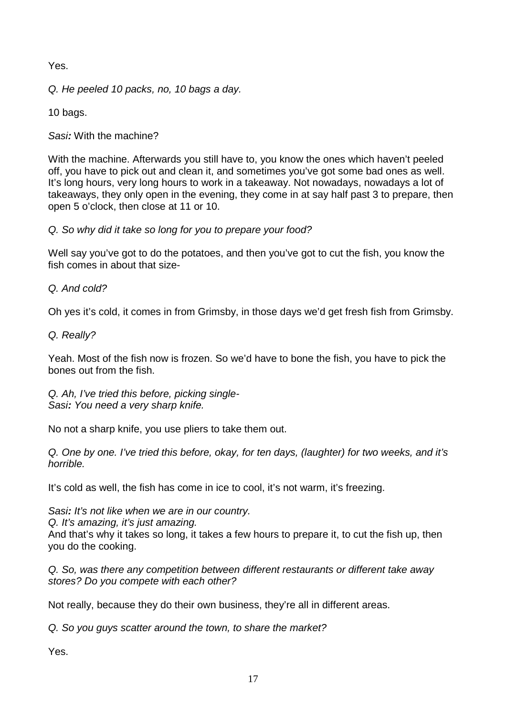Yes.

Q. He peeled 10 packs, no, 10 bags a day.

10 bags.

Sasi**:** With the machine?

With the machine. Afterwards you still have to, you know the ones which haven't peeled off, you have to pick out and clean it, and sometimes you've got some bad ones as well. It's long hours, very long hours to work in a takeaway. Not nowadays, nowadays a lot of takeaways, they only open in the evening, they come in at say half past 3 to prepare, then open 5 o'clock, then close at 11 or 10.

Q. So why did it take so long for you to prepare your food?

Well say you've got to do the potatoes, and then you've got to cut the fish, you know the fish comes in about that size-

Q. And cold?

Oh yes it's cold, it comes in from Grimsby, in those days we'd get fresh fish from Grimsby.

Q. Really?

Yeah. Most of the fish now is frozen. So we'd have to bone the fish, you have to pick the bones out from the fish.

Q. Ah, I've tried this before, picking single-Sasi**:** You need a very sharp knife.

No not a sharp knife, you use pliers to take them out.

Q. One by one. I've tried this before, okay, for ten days, (laughter) for two weeks, and it's horrible.

It's cold as well, the fish has come in ice to cool, it's not warm, it's freezing.

Sasi**:** It's not like when we are in our country.

Q. It's amazing, it's just amazing.

And that's why it takes so long, it takes a few hours to prepare it, to cut the fish up, then you do the cooking.

Q. So, was there any competition between different restaurants or different take away stores? Do you compete with each other?

Not really, because they do their own business, they're all in different areas.

Q. So you guys scatter around the town, to share the market?

Yes.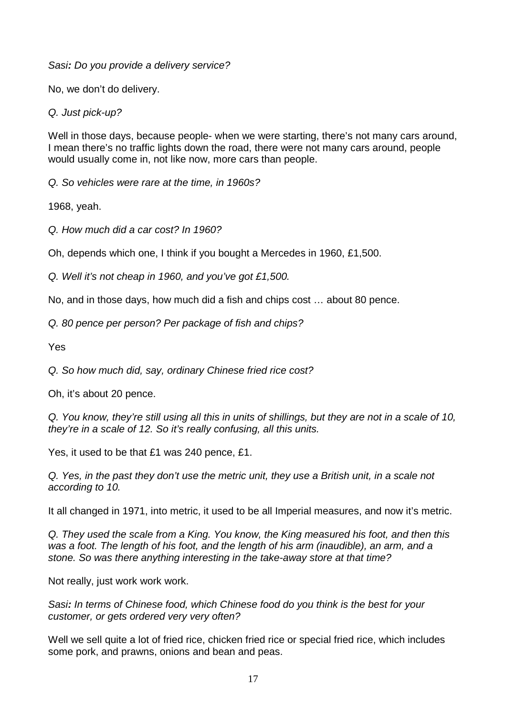Sasi**:** Do you provide a delivery service?

No, we don't do delivery.

Q. Just pick-up?

Well in those days, because people- when we were starting, there's not many cars around, I mean there's no traffic lights down the road, there were not many cars around, people would usually come in, not like now, more cars than people.

Q. So vehicles were rare at the time, in 1960s?

1968, yeah.

Q. How much did a car cost? In 1960?

Oh, depends which one, I think if you bought a Mercedes in 1960, £1,500.

Q. Well it's not cheap in 1960, and you've got £1,500.

No, and in those days, how much did a fish and chips cost … about 80 pence.

Q. 80 pence per person? Per package of fish and chips?

Yes

Q. So how much did, say, ordinary Chinese fried rice cost?

Oh, it's about 20 pence.

Q. You know, they're still using all this in units of shillings, but they are not in a scale of 10, they're in a scale of 12. So it's really confusing, all this units.

Yes, it used to be that £1 was 240 pence, £1.

Q. Yes, in the past they don't use the metric unit, they use a British unit, in a scale not according to 10.

It all changed in 1971, into metric, it used to be all Imperial measures, and now it's metric.

Q. They used the scale from a King. You know, the King measured his foot, and then this was a foot. The length of his foot, and the length of his arm (inaudible), an arm, and a stone. So was there anything interesting in the take-away store at that time?

Not really, just work work work.

Sasi**:** In terms of Chinese food, which Chinese food do you think is the best for your customer, or gets ordered very very often?

Well we sell quite a lot of fried rice, chicken fried rice or special fried rice, which includes some pork, and prawns, onions and bean and peas.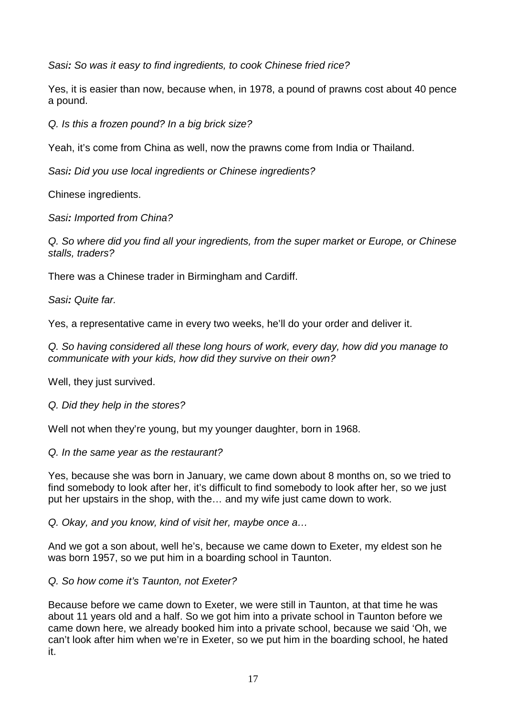Sasi**:** So was it easy to find ingredients, to cook Chinese fried rice?

Yes, it is easier than now, because when, in 1978, a pound of prawns cost about 40 pence a pound.

Q. Is this a frozen pound? In a big brick size?

Yeah, it's come from China as well, now the prawns come from India or Thailand.

Sasi**:** Did you use local ingredients or Chinese ingredients?

Chinese ingredients.

Sasi**:** Imported from China?

Q. So where did you find all your ingredients, from the super market or Europe, or Chinese stalls, traders?

There was a Chinese trader in Birmingham and Cardiff.

Sasi**:** Quite far.

Yes, a representative came in every two weeks, he'll do your order and deliver it.

Q. So having considered all these long hours of work, every day, how did you manage to communicate with your kids, how did they survive on their own?

Well, they just survived.

Q. Did they help in the stores?

Well not when they're young, but my younger daughter, born in 1968.

## Q. In the same year as the restaurant?

Yes, because she was born in January, we came down about 8 months on, so we tried to find somebody to look after her, it's difficult to find somebody to look after her, so we just put her upstairs in the shop, with the… and my wife just came down to work.

Q. Okay, and you know, kind of visit her, maybe once a…

And we got a son about, well he's, because we came down to Exeter, my eldest son he was born 1957, so we put him in a boarding school in Taunton.

Q. So how come it's Taunton, not Exeter?

Because before we came down to Exeter, we were still in Taunton, at that time he was about 11 years old and a half. So we got him into a private school in Taunton before we came down here, we already booked him into a private school, because we said 'Oh, we can't look after him when we're in Exeter, so we put him in the boarding school, he hated it.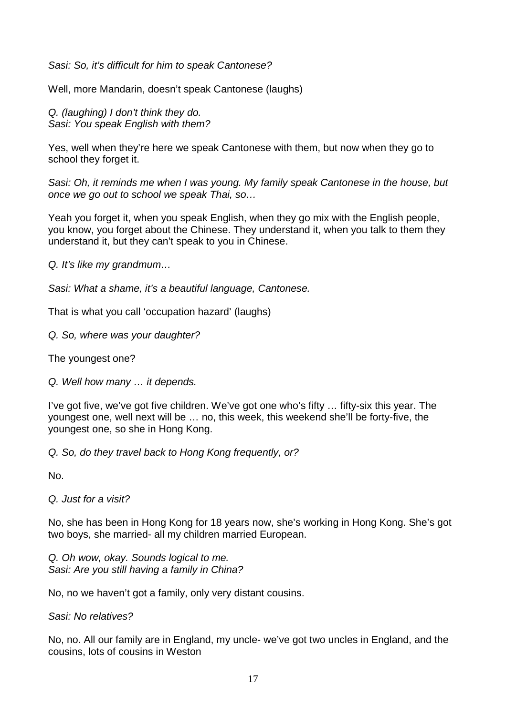Sasi: So, it's difficult for him to speak Cantonese?

Well, more Mandarin, doesn't speak Cantonese (laughs)

Q. (laughing) I don't think they do. Sasi: You speak English with them?

Yes, well when they're here we speak Cantonese with them, but now when they go to school they forget it.

Sasi: Oh, it reminds me when I was young. My family speak Cantonese in the house, but once we go out to school we speak Thai, so…

Yeah you forget it, when you speak English, when they go mix with the English people, you know, you forget about the Chinese. They understand it, when you talk to them they understand it, but they can't speak to you in Chinese.

Q. It's like my grandmum…

Sasi: What a shame, it's a beautiful language, Cantonese.

That is what you call 'occupation hazard' (laughs)

Q. So, where was your daughter?

The youngest one?

Q. Well how many … it depends.

I've got five, we've got five children. We've got one who's fifty … fifty-six this year. The youngest one, well next will be … no, this week, this weekend she'll be forty-five, the youngest one, so she in Hong Kong.

Q. So, do they travel back to Hong Kong frequently, or?

No.

Q. Just for a visit?

No, she has been in Hong Kong for 18 years now, she's working in Hong Kong. She's got two boys, she married- all my children married European.

Q. Oh wow, okay. Sounds logical to me. Sasi: Are you still having a family in China?

No, no we haven't got a family, only very distant cousins.

Sasi: No relatives?

No, no. All our family are in England, my uncle- we've got two uncles in England, and the cousins, lots of cousins in Weston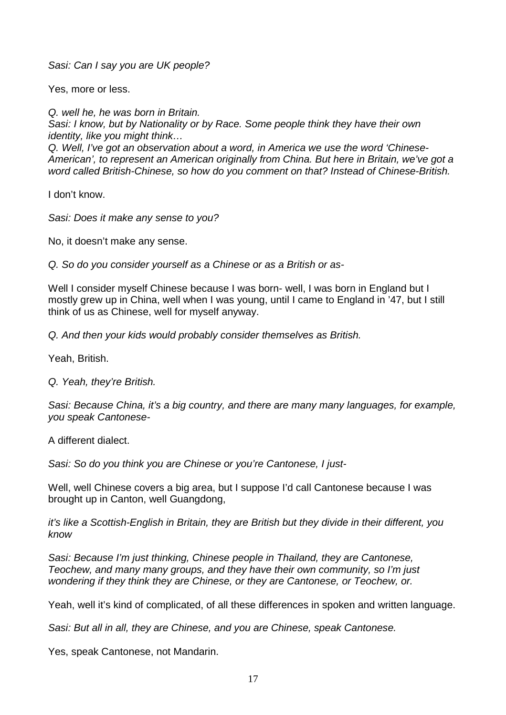Sasi: Can I say you are UK people?

Yes, more or less.

Q. well he, he was born in Britain. Sasi: I know, but by Nationality or by Race. Some people think they have their own identity, like you might think… Q. Well, I've got an observation about a word, in America we use the word 'Chinese-American', to represent an American originally from China. But here in Britain, we've got a

word called British-Chinese, so how do you comment on that? Instead of Chinese-British.

I don't know.

Sasi: Does it make any sense to you?

No, it doesn't make any sense.

Q. So do you consider yourself as a Chinese or as a British or as-

Well I consider myself Chinese because I was born- well, I was born in England but I mostly grew up in China, well when I was young, until I came to England in '47, but I still think of us as Chinese, well for myself anyway.

Q. And then your kids would probably consider themselves as British.

Yeah, British.

Q. Yeah, they're British.

Sasi: Because China, it's a big country, and there are many many languages, for example, you speak Cantonese-

A different dialect.

Sasi: So do you think you are Chinese or you're Cantonese, I just-

Well, well Chinese covers a big area, but I suppose I'd call Cantonese because I was brought up in Canton, well Guangdong,

it's like a Scottish-English in Britain, they are British but they divide in their different, you know

Sasi: Because I'm just thinking, Chinese people in Thailand, they are Cantonese, Teochew, and many many groups, and they have their own community, so I'm just wondering if they think they are Chinese, or they are Cantonese, or Teochew, or.

Yeah, well it's kind of complicated, of all these differences in spoken and written language.

Sasi: But all in all, they are Chinese, and you are Chinese, speak Cantonese.

Yes, speak Cantonese, not Mandarin.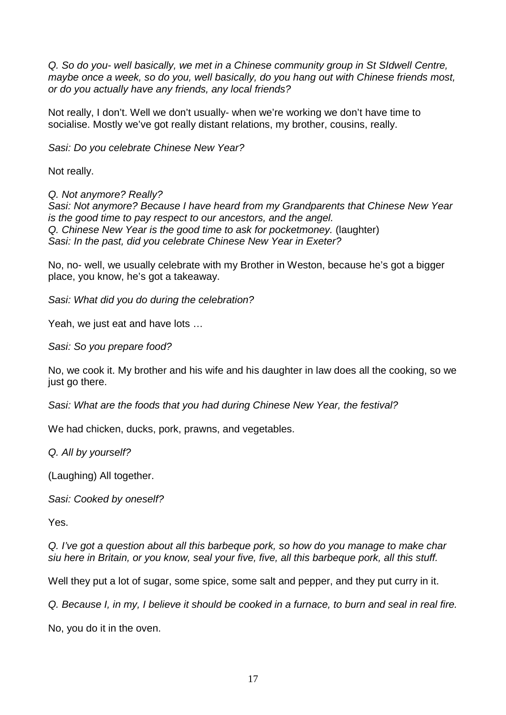Q. So do you- well basically, we met in a Chinese community group in St SIdwell Centre, maybe once a week, so do you, well basically, do you hang out with Chinese friends most, or do you actually have any friends, any local friends?

Not really, I don't. Well we don't usually- when we're working we don't have time to socialise. Mostly we've got really distant relations, my brother, cousins, really.

Sasi: Do you celebrate Chinese New Year?

Not really.

Q. Not anymore? Really? Sasi: Not anymore? Because I have heard from my Grandparents that Chinese New Year is the good time to pay respect to our ancestors, and the angel. Q. Chinese New Year is the good time to ask for pocketmoney. (laughter) Sasi: In the past, did you celebrate Chinese New Year in Exeter?

No, no- well, we usually celebrate with my Brother in Weston, because he's got a bigger place, you know, he's got a takeaway.

Sasi: What did you do during the celebration?

Yeah, we just eat and have lots …

Sasi: So you prepare food?

No, we cook it. My brother and his wife and his daughter in law does all the cooking, so we just go there.

Sasi: What are the foods that you had during Chinese New Year, the festival?

We had chicken, ducks, pork, prawns, and vegetables.

Q. All by yourself?

(Laughing) All together.

Sasi: Cooked by oneself?

Yes.

Q. I've got a question about all this barbeque pork, so how do you manage to make char siu here in Britain, or you know, seal your five, five, all this barbeque pork, all this stuff.

Well they put a lot of sugar, some spice, some salt and pepper, and they put curry in it.

Q. Because I, in my, I believe it should be cooked in a furnace, to burn and seal in real fire.

No, you do it in the oven.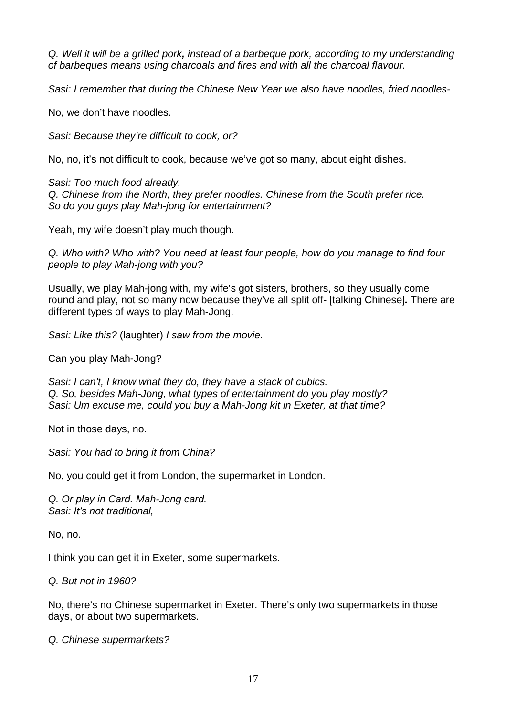Q. Well it will be a grilled pork**,** instead of a barbeque pork, according to my understanding of barbeques means using charcoals and fires and with all the charcoal flavour.

Sasi: I remember that during the Chinese New Year we also have noodles, fried noodles-

No, we don't have noodles.

Sasi: Because they're difficult to cook, or?

No, no, it's not difficult to cook, because we've got so many, about eight dishes.

Sasi: Too much food already. Q. Chinese from the North, they prefer noodles. Chinese from the South prefer rice. So do you guys play Mah-jong for entertainment?

Yeah, my wife doesn't play much though.

Q. Who with? Who with? You need at least four people, how do you manage to find four people to play Mah-jong with you?

Usually, we play Mah-jong with, my wife's got sisters, brothers, so they usually come round and play, not so many now because they've all split off- [talking Chinese]**.** There are different types of ways to play Mah-Jong.

Sasi: Like this? (laughter) I saw from the movie.

Can you play Mah-Jong?

Sasi: I can't, I know what they do, they have a stack of cubics. Q. So, besides Mah-Jong, what types of entertainment do you play mostly? Sasi: Um excuse me, could you buy a Mah-Jong kit in Exeter, at that time?

Not in those days, no.

Sasi: You had to bring it from China?

No, you could get it from London, the supermarket in London.

Q. Or play in Card. Mah-Jong card. Sasi: It's not traditional,

No, no.

I think you can get it in Exeter, some supermarkets.

Q. But not in 1960?

No, there's no Chinese supermarket in Exeter. There's only two supermarkets in those days, or about two supermarkets.

Q. Chinese supermarkets?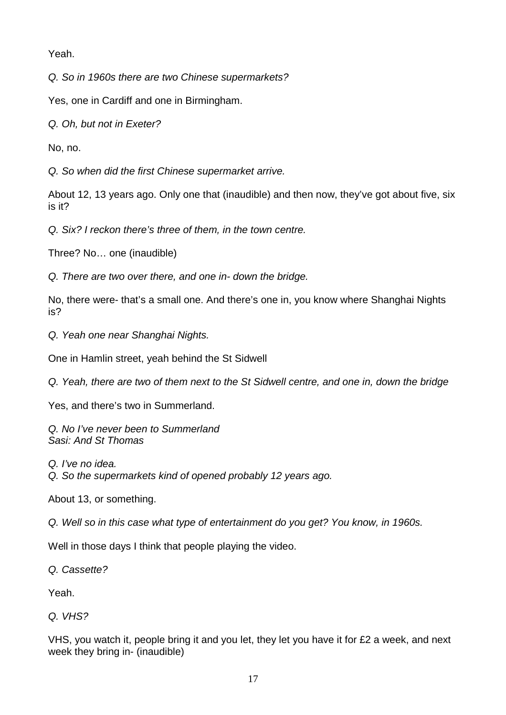Yeah.

Q. So in 1960s there are two Chinese supermarkets?

Yes, one in Cardiff and one in Birmingham.

Q. Oh, but not in Exeter?

No, no.

Q. So when did the first Chinese supermarket arrive.

About 12, 13 years ago. Only one that (inaudible) and then now, they've got about five, six is it?

Q. Six? I reckon there's three of them, in the town centre.

Three? No… one (inaudible)

Q. There are two over there, and one in- down the bridge.

No, there were- that's a small one. And there's one in, you know where Shanghai Nights is?

Q. Yeah one near Shanghai Nights.

One in Hamlin street, yeah behind the St Sidwell

Q. Yeah, there are two of them next to the St Sidwell centre, and one in, down the bridge

Yes, and there's two in Summerland.

Q. No I've never been to Summerland Sasi: And St Thomas

Q. I've no idea.

Q. So the supermarkets kind of opened probably 12 years ago.

About 13, or something.

Q. Well so in this case what type of entertainment do you get? You know, in 1960s.

Well in those days I think that people playing the video.

Q. Cassette?

Yeah.

Q. VHS?

VHS, you watch it, people bring it and you let, they let you have it for £2 a week, and next week they bring in- (inaudible)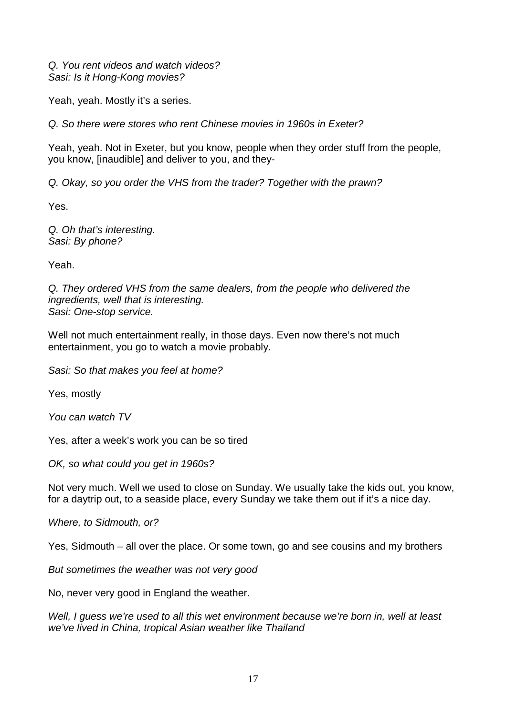Q. You rent videos and watch videos? Sasi: Is it Hong-Kong movies?

Yeah, yeah. Mostly it's a series.

Q. So there were stores who rent Chinese movies in 1960s in Exeter?

Yeah, yeah. Not in Exeter, but you know, people when they order stuff from the people, you know, [inaudible] and deliver to you, and they-

Q. Okay, so you order the VHS from the trader? Together with the prawn?

Yes.

Q. Oh that's interesting. Sasi: By phone?

Yeah.

Q. They ordered VHS from the same dealers, from the people who delivered the ingredients, well that is interesting. Sasi: One-stop service.

Well not much entertainment really, in those days. Even now there's not much entertainment, you go to watch a movie probably.

Sasi: So that makes you feel at home?

Yes, mostly

You can watch TV

Yes, after a week's work you can be so tired

OK, so what could you get in 1960s?

Not very much. Well we used to close on Sunday. We usually take the kids out, you know, for a daytrip out, to a seaside place, every Sunday we take them out if it's a nice day.

Where, to Sidmouth, or?

Yes, Sidmouth – all over the place. Or some town, go and see cousins and my brothers

But sometimes the weather was not very good

No, never very good in England the weather.

Well, I guess we're used to all this wet environment because we're born in, well at least we've lived in China, tropical Asian weather like Thailand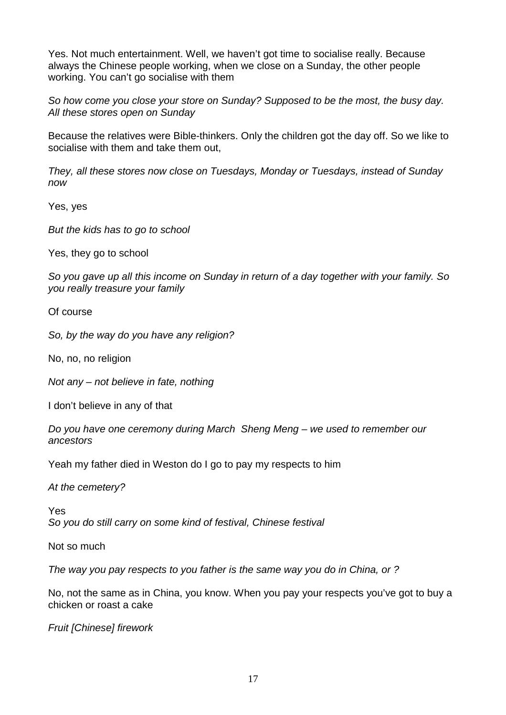Yes. Not much entertainment. Well, we haven't got time to socialise really. Because always the Chinese people working, when we close on a Sunday, the other people working. You can't go socialise with them

So how come you close your store on Sunday? Supposed to be the most, the busy day. All these stores open on Sunday

Because the relatives were Bible-thinkers. Only the children got the day off. So we like to socialise with them and take them out,

They, all these stores now close on Tuesdays, Monday or Tuesdays, instead of Sunday now

Yes, yes

But the kids has to go to school

Yes, they go to school

So you gave up all this income on Sunday in return of a day together with your family. So you really treasure your family

Of course

So, by the way do you have any religion?

No, no, no religion

Not any – not believe in fate, nothing

I don't believe in any of that

Do you have one ceremony during March Sheng Meng – we used to remember our ancestors

Yeah my father died in Weston do I go to pay my respects to him

At the cemetery?

Yes So you do still carry on some kind of festival, Chinese festival

Not so much

The way you pay respects to you father is the same way you do in China, or ?

No, not the same as in China, you know. When you pay your respects you've got to buy a chicken or roast a cake

Fruit [Chinese] firework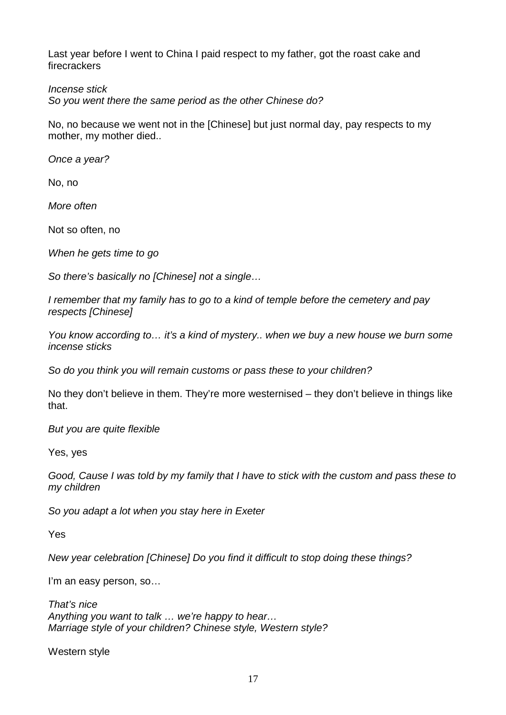Last year before I went to China I paid respect to my father, got the roast cake and firecrackers

### Incense stick

So you went there the same period as the other Chinese do?

No, no because we went not in the [Chinese] but just normal day, pay respects to my mother, my mother died..

Once a year?

No, no

More often

Not so often, no

When he gets time to go

So there's basically no [Chinese] not a single...

I remember that my family has to go to a kind of temple before the cemetery and pay respects [Chinese]

You know according to... it's a kind of mystery.. when we buy a new house we burn some incense sticks

So do you think you will remain customs or pass these to your children?

No they don't believe in them. They're more westernised – they don't believe in things like that.

But you are quite flexible

Yes, yes

Good, Cause I was told by my family that I have to stick with the custom and pass these to my children

So you adapt a lot when you stay here in Exeter

Yes

New year celebration [Chinese] Do you find it difficult to stop doing these things?

I'm an easy person, so...

That's nice Anything you want to talk … we're happy to hear… Marriage style of your children? Chinese style, Western style?

Western style